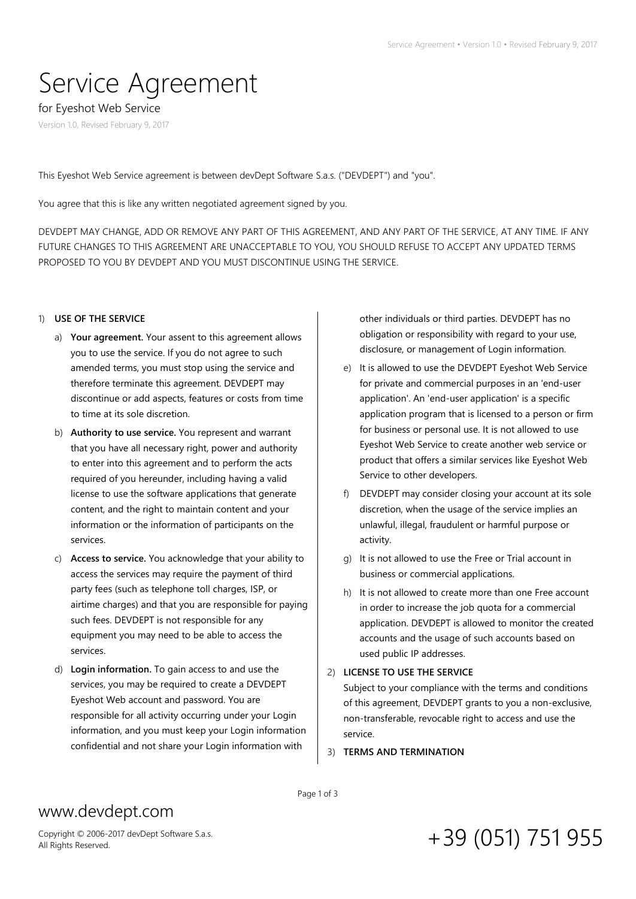# Service Agreement

for Eyeshot Web Service

Version 1.0, Revised February 9, 2017

This Eyeshot Web Service agreement is between devDept Software S.a.s. ("DEVDEPT") and "you".

You agree that this is like any written negotiated agreement signed by you.

DEVDEPT MAY CHANGE, ADD OR REMOVE ANY PART OF THIS AGREEMENT, AND ANY PART OF THE SERVICE, AT ANY TIME. IF ANY FUTURE CHANGES TO THIS AGREEMENT ARE UNACCEPTABLE TO YOU, YOU SHOULD REFUSE TO ACCEPT ANY UPDATED TERMS PROPOSED TO YOU BY DEVDEPT AND YOU MUST DISCONTINUE USING THE SERVICE.

### 1) **USE OF THE SERVICE**

- a) **Your agreement.** Your assent to this agreement allows you to use the service. If you do not agree to such amended terms, you must stop using the service and therefore terminate this agreement. DEVDEPT may discontinue or add aspects, features or costs from time to time at its sole discretion.
- b) **Authority to use service.** You represent and warrant that you have all necessary right, power and authority to enter into this agreement and to perform the acts required of you hereunder, including having a valid license to use the software applications that generate content, and the right to maintain content and your information or the information of participants on the services.
- c) **Access to service.** You acknowledge that your ability to access the services may require the payment of third party fees (such as telephone toll charges, ISP, or airtime charges) and that you are responsible for paying such fees. DEVDEPT is not responsible for any equipment you may need to be able to access the services.
- d) **Login information.** To gain access to and use the services, you may be required to create a DEVDEPT Eyeshot Web account and password. You are responsible for all activity occurring under your Login information, and you must keep your Login information confidential and not share your Login information with

other individuals or third parties. DEVDEPT has no obligation or responsibility with regard to your use, disclosure, or management of Login information.

- e) It is allowed to use the DEVDEPT Eyeshot Web Service for private and commercial purposes in an 'end-user application'. An 'end-user application' is a specific application program that is licensed to a person or firm for business or personal use. It is not allowed to use Eyeshot Web Service to create another web service or product that offers a similar services like Eyeshot Web Service to other developers.
- f) DEVDEPT may consider closing your account at its sole discretion, when the usage of the service implies an unlawful, illegal, fraudulent or harmful purpose or activity.
- g) It is not allowed to use the Free or Trial account in business or commercial applications.
- h) It is not allowed to create more than one Free account in order to increase the job quota for a commercial application. DEVDEPT is allowed to monitor the created accounts and the usage of such accounts based on used public IP addresses.
- 2) **LICENSE TO USE THE SERVICE**

Subject to your compliance with the terms and conditions of this agreement, DEVDEPT grants to you a non-exclusive, non-transferable, revocable right to access and use the service.

3) **TERMS AND TERMINATION**

## www.devdept.com

Page 1 of 3

Copyright © 2006-2017 devDept Software S.a.s.

# Copyright © 2006-2017 devDept Software S.a.s.  $+39$   $(051)$   $751$   $955$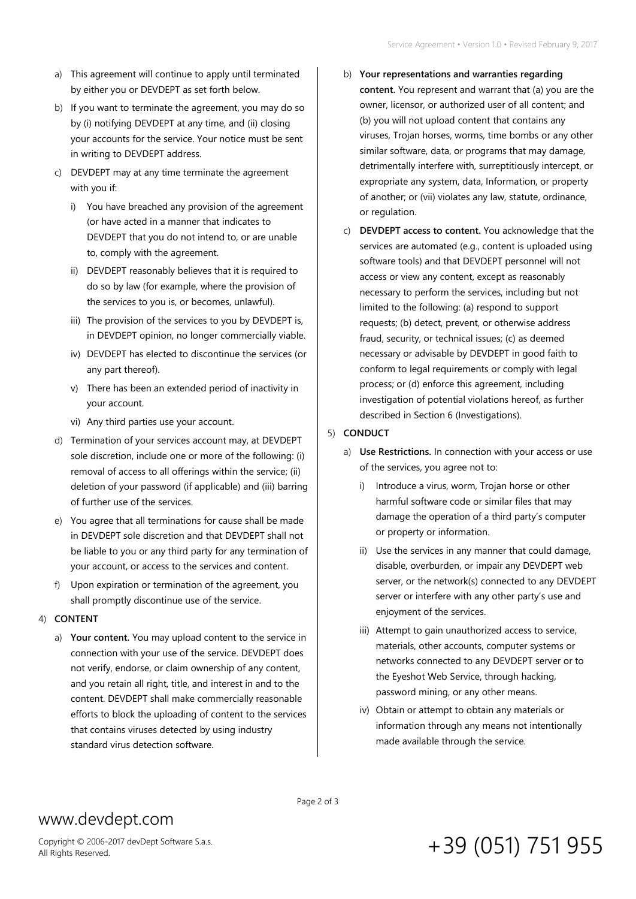- a) This agreement will continue to apply until terminated by either you or DEVDEPT as set forth below.
- b) If you want to terminate the agreement, you may do so by (i) notifying DEVDEPT at any time, and (ii) closing your accounts for the service. Your notice must be sent in writing to DEVDEPT address.
- c) DEVDEPT may at any time terminate the agreement with you if:
	- i) You have breached any provision of the agreement (or have acted in a manner that indicates to DEVDEPT that you do not intend to, or are unable to, comply with the agreement.
	- ii) DEVDEPT reasonably believes that it is required to do so by law (for example, where the provision of the services to you is, or becomes, unlawful).
	- iii) The provision of the services to you by DEVDEPT is, in DEVDEPT opinion, no longer commercially viable.
	- iv) DEVDEPT has elected to discontinue the services (or any part thereof).
	- v) There has been an extended period of inactivity in your account.
	- vi) Any third parties use your account.
- d) Termination of your services account may, at DEVDEPT sole discretion, include one or more of the following: (i) removal of access to all offerings within the service; (ii) deletion of your password (if applicable) and (iii) barring of further use of the services.
- e) You agree that all terminations for cause shall be made in DEVDEPT sole discretion and that DEVDEPT shall not be liable to you or any third party for any termination of your account, or access to the services and content.
- f) Upon expiration or termination of the agreement, you shall promptly discontinue use of the service.
- 4) **CONTENT**
	- a) **Your content.** You may upload content to the service in connection with your use of the service. DEVDEPT does not verify, endorse, or claim ownership of any content, and you retain all right, title, and interest in and to the content. DEVDEPT shall make commercially reasonable efforts to block the uploading of content to the services that contains viruses detected by using industry standard virus detection software.
- b) **Your representations and warranties regarding content.** You represent and warrant that (a) you are the owner, licensor, or authorized user of all content; and (b) you will not upload content that contains any viruses, Trojan horses, worms, time bombs or any other similar software, data, or programs that may damage, detrimentally interfere with, surreptitiously intercept, or expropriate any system, data, Information, or property of another; or (vii) violates any law, statute, ordinance, or regulation.
- c) **DEVDEPT access to content.** You acknowledge that the services are automated (e.g., content is uploaded using software tools) and that DEVDEPT personnel will not access or view any content, except as reasonably necessary to perform the services, including but not limited to the following: (a) respond to support requests; (b) detect, prevent, or otherwise address fraud, security, or technical issues; (c) as deemed necessary or advisable by DEVDEPT in good faith to conform to legal requirements or comply with legal process; or (d) enforce this agreement, including investigation of potential violations hereof, as further described in Section 6 (Investigations).

#### 5) **CONDUCT**

- a) **Use Restrictions.** In connection with your access or use of the services, you agree not to:
	- i) Introduce a virus, worm, Trojan horse or other harmful software code or similar files that may damage the operation of a third party's computer or property or information.
	- ii) Use the services in any manner that could damage, disable, overburden, or impair any DEVDEPT web server, or the network(s) connected to any DEVDEPT server or interfere with any other party's use and enjoyment of the services.
	- iii) Attempt to gain unauthorized access to service, materials, other accounts, computer systems or networks connected to any DEVDEPT server or to the Eyeshot Web Service, through hacking, password mining, or any other means.
	- iv) Obtain or attempt to obtain any materials or information through any means not intentionally made available through the service.

### www.devdept.com

Copyright © 2006-2017 devDept Software S.a.s.

#### Page 2 of 3

## Copyright © 2006-2017 devDept Software S.a.s.  $+39$   $(051)$   $751$   $955$